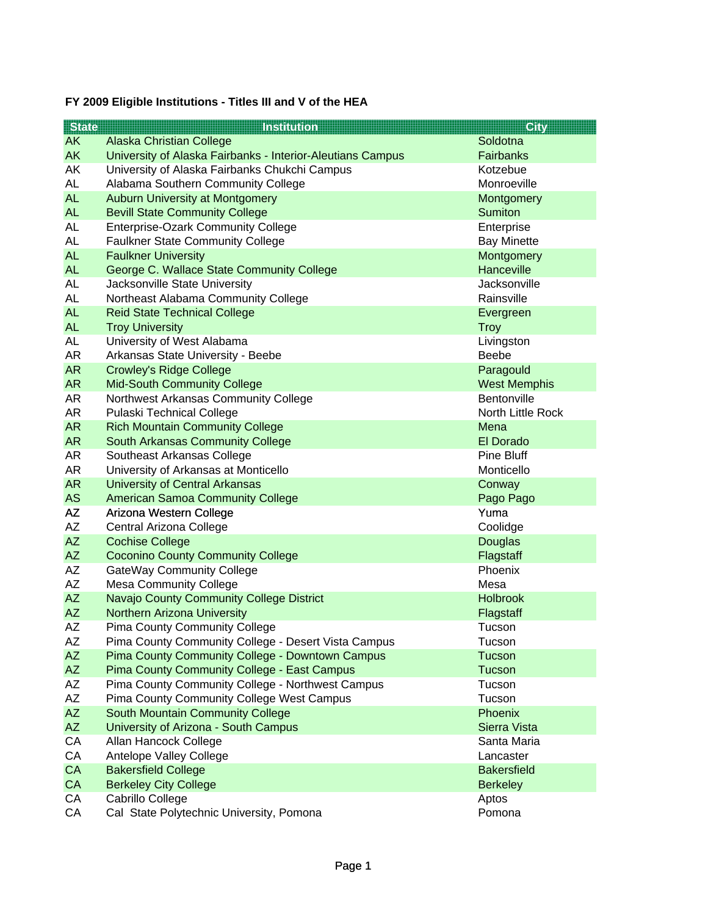## **FY 2009 Eligible Institutions - Titles III and V of the HEA**

| <b>State</b>    | <b>Institution</b>                                                                             | <b>City</b>         |
|-----------------|------------------------------------------------------------------------------------------------|---------------------|
| <b>AK</b>       | Alaska Christian College                                                                       | Soldotna            |
| <b>AK</b>       | University of Alaska Fairbanks - Interior-Aleutians Campus                                     | <b>Fairbanks</b>    |
| AK              | University of Alaska Fairbanks Chukchi Campus                                                  | Kotzebue            |
| <b>AL</b>       | Alabama Southern Community College                                                             | Monroeville         |
| <b>AL</b>       | <b>Auburn University at Montgomery</b>                                                         | Montgomery          |
| <b>AL</b>       | <b>Bevill State Community College</b>                                                          | <b>Sumiton</b>      |
| AL              | <b>Enterprise-Ozark Community College</b>                                                      | Enterprise          |
| AL              | <b>Faulkner State Community College</b>                                                        | <b>Bay Minette</b>  |
| <b>AL</b>       | <b>Faulkner University</b>                                                                     | Montgomery          |
| <b>AL</b>       | George C. Wallace State Community College                                                      | Hanceville          |
| AL              | Jacksonville State University                                                                  | Jacksonville        |
| AL              | Northeast Alabama Community College                                                            | Rainsville          |
| <b>AL</b>       | <b>Reid State Technical College</b>                                                            | Evergreen           |
| <b>AL</b>       | <b>Troy University</b>                                                                         | Troy                |
| <b>AL</b>       | University of West Alabama                                                                     | Livingston          |
| <b>AR</b>       | Arkansas State University - Beebe                                                              | <b>Beebe</b>        |
| <b>AR</b>       | <b>Crowley's Ridge College</b>                                                                 | Paragould           |
| <b>AR</b>       | <b>Mid-South Community College</b>                                                             | <b>West Memphis</b> |
| AR              | Northwest Arkansas Community College                                                           | Bentonville         |
| AR              | Pulaski Technical College                                                                      | North Little Rock   |
| <b>AR</b>       | <b>Rich Mountain Community College</b>                                                         | Mena                |
| <b>AR</b>       | South Arkansas Community College                                                               | El Dorado           |
| AR              | Southeast Arkansas College                                                                     | <b>Pine Bluff</b>   |
| AR              | University of Arkansas at Monticello                                                           | Monticello          |
| <b>AR</b>       | <b>University of Central Arkansas</b>                                                          | Conway              |
| <b>AS</b>       | <b>American Samoa Community College</b>                                                        | Pago Pago           |
| <b>AZ</b>       | Arizona Western College                                                                        | Yuma                |
| AZ              | Central Arizona College                                                                        | Coolidge            |
| <b>AZ</b>       | <b>Cochise College</b>                                                                         | Douglas             |
| <b>AZ</b>       | <b>Coconino County Community College</b>                                                       | Flagstaff           |
| AΖ              | <b>GateWay Community College</b>                                                               | Phoenix             |
| AZ              | <b>Mesa Community College</b>                                                                  | Mesa                |
| <b>AZ</b>       | Navajo County Community College District                                                       | <b>Holbrook</b>     |
| <b>AZ</b>       | <b>Northern Arizona University</b>                                                             | Flagstaff           |
| AΖ<br><b>AZ</b> | <b>Pima County Community College</b>                                                           | Tucson              |
| <b>AZ</b>       | Pima County Community College - Desert Vista Campus                                            | Tucson              |
|                 | Pima County Community College - Downtown Campus<br>Pima County Community College - East Campus | <b>Tucson</b>       |
| <b>AZ</b>       |                                                                                                | Tucson<br>Tucson    |
| AΖ<br><b>AZ</b> | Pima County Community College - Northwest Campus<br>Pima County Community College West Campus  | Tucson              |
| <b>AZ</b>       | South Mountain Community College                                                               | Phoenix             |
| <b>AZ</b>       | University of Arizona - South Campus                                                           | Sierra Vista        |
| CA              | Allan Hancock College                                                                          | Santa Maria         |
| CA              | Antelope Valley College                                                                        | Lancaster           |
| CA              | <b>Bakersfield College</b>                                                                     | <b>Bakersfield</b>  |
| CA              | <b>Berkeley City College</b>                                                                   | <b>Berkeley</b>     |
| CA              | Cabrillo College                                                                               | Aptos               |
| СA              | Cal State Polytechnic University, Pomona                                                       | Pomona              |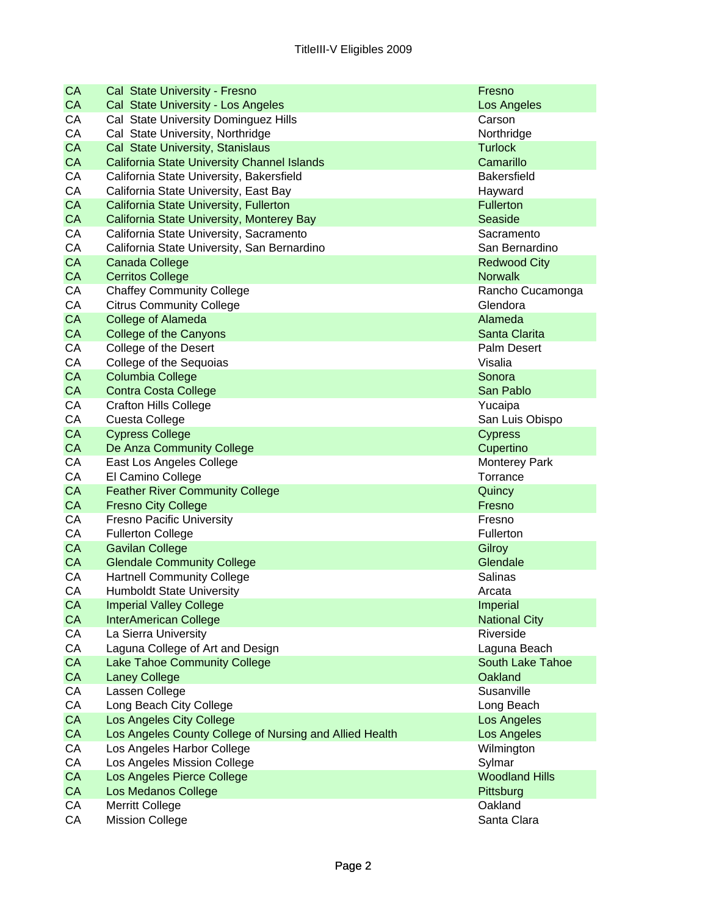| CA        | Cal State University - Fresno                           | Fresno                             |
|-----------|---------------------------------------------------------|------------------------------------|
| CA        | Cal State University - Los Angeles                      | Los Angeles                        |
| CA        | Cal State University Dominguez Hills                    | Carson                             |
| CA        | Cal State University, Northridge                        | Northridge                         |
| CA        | Cal State University, Stanislaus                        | <b>Turlock</b>                     |
| CA        | <b>California State University Channel Islands</b>      | Camarillo                          |
| CA        | California State University, Bakersfield                | <b>Bakersfield</b>                 |
| CA        | California State University, East Bay                   | Hayward                            |
| CA        | California State University, Fullerton                  | <b>Fullerton</b>                   |
| CA        | California State University, Monterey Bay               | Seaside                            |
| CA        | California State University, Sacramento                 | Sacramento                         |
| CA        | California State University, San Bernardino             | San Bernardino                     |
| CA        | Canada College                                          | <b>Redwood City</b>                |
| CA        | <b>Cerritos College</b>                                 | <b>Norwalk</b>                     |
| CA        | <b>Chaffey Community College</b>                        | Rancho Cucamonga                   |
| CA        | <b>Citrus Community College</b>                         | Glendora                           |
| CA        | College of Alameda                                      | Alameda                            |
| CA        | <b>College of the Canyons</b>                           | Santa Clarita                      |
| CA        | College of the Desert                                   | <b>Palm Desert</b>                 |
| CA        | College of the Sequoias                                 | Visalia                            |
| CA        | <b>Columbia College</b>                                 | Sonora                             |
| CA        | <b>Contra Costa College</b>                             | San Pablo                          |
| CA        | <b>Crafton Hills College</b>                            | Yucaipa                            |
| CA        | Cuesta College                                          | San Luis Obispo                    |
| CA        | <b>Cypress College</b>                                  | <b>Cypress</b>                     |
| CA        | De Anza Community College                               | Cupertino                          |
| CA        | East Los Angeles College                                | <b>Monterey Park</b>               |
| CA        | El Camino College                                       | Torrance                           |
| CA        | <b>Feather River Community College</b>                  | Quincy                             |
| <b>CA</b> | <b>Fresno City College</b>                              | Fresno                             |
| CA        | <b>Fresno Pacific University</b>                        | Fresno                             |
| CA        | <b>Fullerton College</b>                                | Fullerton                          |
| CA        | <b>Gavilan College</b>                                  | Gilroy                             |
| CA        | <b>Glendale Community College</b>                       | Glendale                           |
| CA        | <b>Hartnell Community College</b>                       | Salinas                            |
| CA        | <b>Humboldt State University</b>                        | Arcata                             |
| CA        | <b>Imperial Valley College</b>                          | <b>Imperial</b>                    |
| CA        | <b>InterAmerican College</b>                            | <b>National City</b>               |
| CA        | La Sierra University                                    | Riverside                          |
| CA        | Laguna College of Art and Design                        | Laguna Beach                       |
| CA        | Lake Tahoe Community College                            | <b>South Lake Tahoe</b>            |
| CA        | <b>Laney College</b>                                    | Oakland                            |
| CA        | Lassen College                                          | Susanville                         |
| CA        | Long Beach City College                                 | Long Beach                         |
| CA        | Los Angeles City College                                | Los Angeles                        |
| CA        | Los Angeles County College of Nursing and Allied Health | Los Angeles                        |
| CA        | Los Angeles Harbor College                              | Wilmington                         |
| CA        | Los Angeles Mission College                             | Sylmar                             |
| CA<br>CA  | Los Angeles Pierce College<br>Los Medanos College       | <b>Woodland Hills</b><br>Pittsburg |
| СA        | Merritt College                                         | Oakland                            |
| CA        | <b>Mission College</b>                                  | Santa Clara                        |
|           |                                                         |                                    |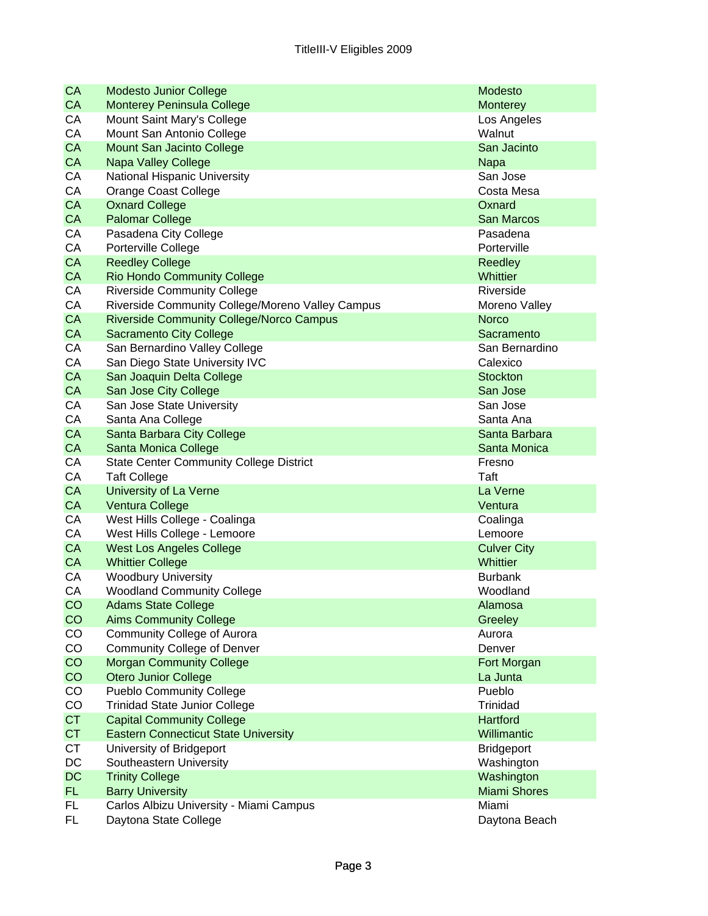| CA        | <b>Modesto Junior College</b>                    | <b>Modesto</b>      |
|-----------|--------------------------------------------------|---------------------|
| CA        | <b>Monterey Peninsula College</b>                | Monterey            |
| CA        | Mount Saint Mary's College                       | Los Angeles         |
| CA        | Mount San Antonio College                        | Walnut              |
| <b>CA</b> | Mount San Jacinto College                        | San Jacinto         |
| CA        | <b>Napa Valley College</b>                       | <b>Napa</b>         |
| CA        | National Hispanic University                     | San Jose            |
| CA        | Orange Coast College                             | Costa Mesa          |
| CA        | <b>Oxnard College</b>                            | Oxnard              |
| CA        | <b>Palomar College</b>                           | San Marcos          |
| CA        | Pasadena City College                            | Pasadena            |
| CA        | Porterville College                              | Porterville         |
| <b>CA</b> | <b>Reedley College</b>                           | <b>Reedley</b>      |
| CA        | <b>Rio Hondo Community College</b>               | <b>Whittier</b>     |
| CA        | <b>Riverside Community College</b>               | Riverside           |
| CA        | Riverside Community College/Moreno Valley Campus | Moreno Valley       |
| <b>CA</b> | <b>Riverside Community College/Norco Campus</b>  | <b>Norco</b>        |
| CA        | <b>Sacramento City College</b>                   | Sacramento          |
| CA        | San Bernardino Valley College                    | San Bernardino      |
| CA        | San Diego State University IVC                   | Calexico            |
| CA        | San Joaquin Delta College                        | <b>Stockton</b>     |
| CA        | San Jose City College                            | San Jose            |
| CA        | San Jose State University                        | San Jose            |
| CA        | Santa Ana College                                | Santa Ana           |
| CA        | Santa Barbara City College                       | Santa Barbara       |
| CA        | Santa Monica College                             | Santa Monica        |
| CA        | <b>State Center Community College District</b>   | Fresno              |
| CA        | <b>Taft College</b>                              | Taft                |
| CA        | <b>University of La Verne</b>                    | La Verne            |
| CA        | Ventura College                                  | Ventura             |
| CA        | West Hills College - Coalinga                    | Coalinga            |
| CA        | West Hills College - Lemoore                     | Lemoore             |
| <b>CA</b> | <b>West Los Angeles College</b>                  | <b>Culver City</b>  |
| <b>CA</b> | <b>Whittier College</b>                          | Whittier            |
| CA        | <b>Woodbury University</b>                       | <b>Burbank</b>      |
| CA        | <b>Woodland Community College</b>                | Woodland            |
| CO        | <b>Adams State College</b>                       | Alamosa             |
| CO        | <b>Aims Community College</b>                    | Greeley             |
| CO        | Community College of Aurora                      | Aurora              |
| CO        | <b>Community College of Denver</b>               | Denver              |
| CO        | <b>Morgan Community College</b>                  | Fort Morgan         |
| CO        | <b>Otero Junior College</b>                      | La Junta            |
| CO        | <b>Pueblo Community College</b>                  | Pueblo              |
| CO        | <b>Trinidad State Junior College</b>             | Trinidad            |
| <b>CT</b> | <b>Capital Community College</b>                 | <b>Hartford</b>     |
| <b>CT</b> | <b>Eastern Connecticut State University</b>      | Willimantic         |
| СT        | University of Bridgeport                         | <b>Bridgeport</b>   |
| DC        | Southeastern University                          | Washington          |
| DC        | <b>Trinity College</b>                           | Washington          |
| FL.       | <b>Barry University</b>                          | <b>Miami Shores</b> |
| FL.       | Carlos Albizu University - Miami Campus          | Miami               |
| FL.       | Daytona State College                            | Daytona Beach       |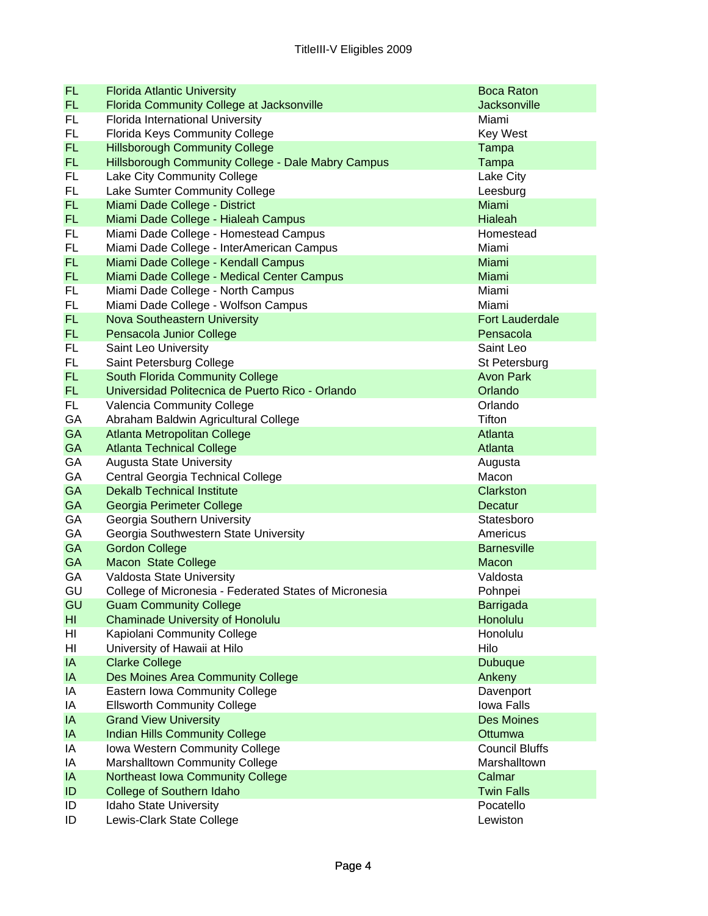| <b>FL</b>       | <b>Florida Atlantic University</b>                     | <b>Boca Raton</b>      |
|-----------------|--------------------------------------------------------|------------------------|
| <b>FL</b>       | Florida Community College at Jacksonville              | <b>Jacksonville</b>    |
| <b>FL</b>       | Florida International University                       | Miami                  |
| FL.             | Florida Keys Community College                         | <b>Key West</b>        |
| <b>FL</b>       | <b>Hillsborough Community College</b>                  | Tampa                  |
| FL.             | Hillsborough Community College - Dale Mabry Campus     | Tampa                  |
| FL.             | Lake City Community College                            | Lake City              |
| FL.             | Lake Sumter Community College                          | Leesburg               |
| <b>FL</b>       | Miami Dade College - District                          | Miami                  |
| FL.             | Miami Dade College - Hialeah Campus                    | <b>Hialeah</b>         |
| FL.             | Miami Dade College - Homestead Campus                  | Homestead              |
| FL.             | Miami Dade College - InterAmerican Campus              | Miami                  |
| FL.             | Miami Dade College - Kendall Campus                    | Miami                  |
| FL.             | Miami Dade College - Medical Center Campus             | Miami                  |
| FL.             | Miami Dade College - North Campus                      | Miami                  |
| FL.             | Miami Dade College - Wolfson Campus                    | Miami                  |
| FL.             | Nova Southeastern University                           | <b>Fort Lauderdale</b> |
| FL.             | Pensacola Junior College                               | Pensacola              |
| FL              | Saint Leo University                                   | Saint Leo              |
| FL              | Saint Petersburg College                               | St Petersburg          |
| <b>FL</b>       | South Florida Community College                        | <b>Avon Park</b>       |
| FL.             | Universidad Politecnica de Puerto Rico - Orlando       | Orlando                |
| FL.             | Valencia Community College                             | Orlando                |
| GA              | Abraham Baldwin Agricultural College                   | Tifton                 |
| GA              | Atlanta Metropolitan College                           | Atlanta                |
| GA              | <b>Atlanta Technical College</b>                       | Atlanta                |
| GA              | <b>Augusta State University</b>                        | Augusta                |
| GA              | Central Georgia Technical College                      | Macon                  |
| GA              | <b>Dekalb Technical Institute</b>                      | Clarkston              |
| GA              | Georgia Perimeter College                              | Decatur                |
| GA              | Georgia Southern University                            | Statesboro             |
| GA              | Georgia Southwestern State University                  | Americus               |
| GA              | <b>Gordon College</b>                                  | <b>Barnesville</b>     |
| GA              | <b>Macon State College</b>                             | Macon                  |
| GA              | Valdosta State University                              | Valdosta               |
| GU              | College of Micronesia - Federated States of Micronesia | Pohnpei                |
| GU              | <b>Guam Community College</b>                          | Barrigada              |
| H <sub>II</sub> | <b>Chaminade University of Honolulu</b>                | Honolulu               |
| HI              | Kapiolani Community College                            | Honolulu               |
| HI              | University of Hawaii at Hilo                           | Hilo                   |
| IA              | <b>Clarke College</b>                                  | <b>Dubuque</b>         |
| IA              | Des Moines Area Community College                      | Ankeny                 |
| IA              | Eastern Iowa Community College                         | Davenport              |
| IA              | <b>Ellsworth Community College</b>                     | Iowa Falls             |
| IA              | <b>Grand View University</b>                           | <b>Des Moines</b>      |
| IA              | <b>Indian Hills Community College</b>                  | Ottumwa                |
| IA              | Iowa Western Community College                         | <b>Council Bluffs</b>  |
| IA              | Marshalltown Community College                         | Marshalltown           |
| IA              | Northeast Iowa Community College                       | Calmar                 |
| ID              | College of Southern Idaho                              | <b>Twin Falls</b>      |
| ID              | Idaho State University                                 | Pocatello              |
| ID              | Lewis-Clark State College                              | Lewiston               |
|                 |                                                        |                        |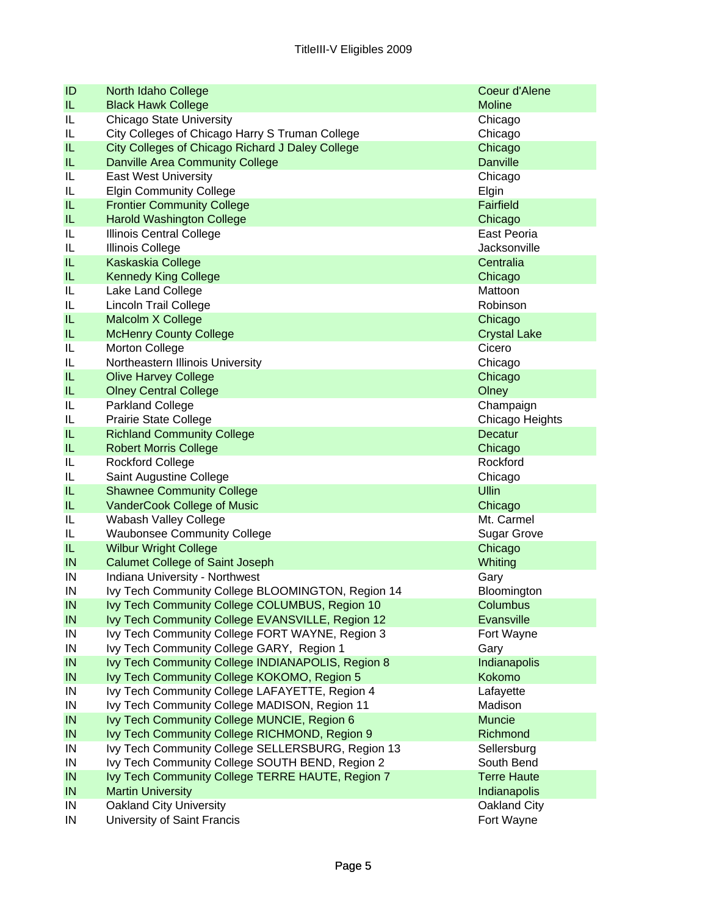| ID | North Idaho College                               | Coeur d'Alene       |
|----|---------------------------------------------------|---------------------|
| IL | <b>Black Hawk College</b>                         | <b>Moline</b>       |
| IL | <b>Chicago State University</b>                   | Chicago             |
| IL | City Colleges of Chicago Harry S Truman College   | Chicago             |
| IL | City Colleges of Chicago Richard J Daley College  | Chicago             |
| IL | <b>Danville Area Community College</b>            | <b>Danville</b>     |
| IL | <b>East West University</b>                       | Chicago             |
| IL | <b>Elgin Community College</b>                    | Elgin               |
| IL | <b>Frontier Community College</b>                 | Fairfield           |
| IL | <b>Harold Washington College</b>                  | Chicago             |
| IL | Illinois Central College                          | East Peoria         |
| IL | <b>Illinois College</b>                           | Jacksonville        |
| IL | Kaskaskia College                                 | Centralia           |
| IL | <b>Kennedy King College</b>                       | Chicago             |
| IL | Lake Land College                                 | Mattoon             |
| IL | <b>Lincoln Trail College</b>                      | Robinson            |
| IL | Malcolm X College                                 | Chicago             |
| IL | <b>McHenry County College</b>                     | <b>Crystal Lake</b> |
| IL | Morton College                                    | Cicero              |
| IL | Northeastern Illinois University                  | Chicago             |
| IL | <b>Olive Harvey College</b>                       | Chicago             |
| IL | <b>Olney Central College</b>                      | Olney               |
| IL | <b>Parkland College</b>                           | Champaign           |
| IL | <b>Prairie State College</b>                      | Chicago Heights     |
| IL | <b>Richland Community College</b>                 | Decatur             |
| IL | <b>Robert Morris College</b>                      | Chicago             |
| IL | <b>Rockford College</b>                           | Rockford            |
| IL | Saint Augustine College                           | Chicago             |
| IL | <b>Shawnee Community College</b>                  | <b>Ullin</b>        |
| IL | VanderCook College of Music                       | Chicago             |
| IL | Wabash Valley College                             | Mt. Carmel          |
| IL | <b>Waubonsee Community College</b>                | <b>Sugar Grove</b>  |
| IL | <b>Wilbur Wright College</b>                      | Chicago             |
| IN | <b>Calumet College of Saint Joseph</b>            | Whiting             |
| IN | Indiana University - Northwest                    | Gary                |
| IN | Ivy Tech Community College BLOOMINGTON, Region 14 | Bloomington         |
| IN | Ivy Tech Community College COLUMBUS, Region 10    | Columbus            |
| IN | Ivy Tech Community College EVANSVILLE, Region 12  | Evansville          |
| IN | Ivy Tech Community College FORT WAYNE, Region 3   | Fort Wayne          |
| IN | Ivy Tech Community College GARY, Region 1         | Gary                |
| IN | Ivy Tech Community College INDIANAPOLIS, Region 8 | Indianapolis        |
| IN | Ivy Tech Community College KOKOMO, Region 5       | Kokomo              |
| IN | Ivy Tech Community College LAFAYETTE, Region 4    | Lafayette           |
| IN | Ivy Tech Community College MADISON, Region 11     | Madison             |
| IN | Ivy Tech Community College MUNCIE, Region 6       | <b>Muncie</b>       |
| IN | Ivy Tech Community College RICHMOND, Region 9     | Richmond            |
| IN | Ivy Tech Community College SELLERSBURG, Region 13 | Sellersburg         |
| IN | Ivy Tech Community College SOUTH BEND, Region 2   | South Bend          |
| IN | Ivy Tech Community College TERRE HAUTE, Region 7  | <b>Terre Haute</b>  |
| IN | <b>Martin University</b>                          | Indianapolis        |
| IN | <b>Oakland City University</b>                    | Oakland City        |
| IN | University of Saint Francis                       | Fort Wayne          |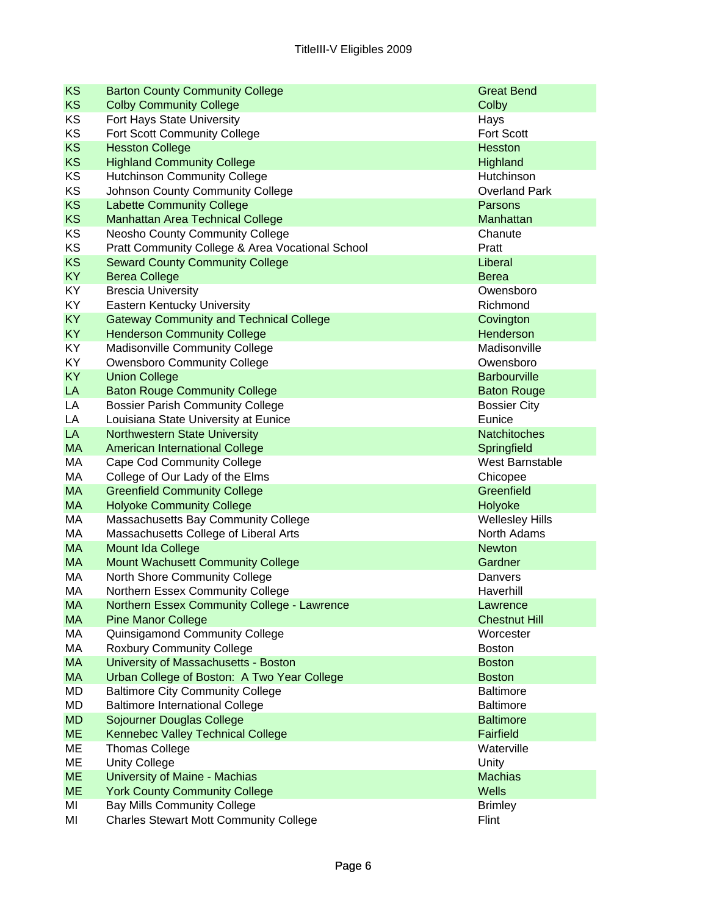| <b>KS</b>       | <b>Barton County Community College</b>                               | <b>Great Bend</b>              |
|-----------------|----------------------------------------------------------------------|--------------------------------|
| <b>KS</b>       | <b>Colby Community College</b>                                       | Colby                          |
| KS              | Fort Hays State University                                           | Hays                           |
| KS              | Fort Scott Community College                                         | <b>Fort Scott</b>              |
| <b>KS</b>       | <b>Hesston College</b>                                               | <b>Hesston</b>                 |
| <b>KS</b>       | <b>Highland Community College</b>                                    | Highland                       |
| KS              | <b>Hutchinson Community College</b>                                  | Hutchinson                     |
| KS              | Johnson County Community College                                     | <b>Overland Park</b>           |
| <b>KS</b>       | <b>Labette Community College</b>                                     | Parsons                        |
| <b>KS</b>       | <b>Manhattan Area Technical College</b>                              | Manhattan                      |
| KS              | Neosho County Community College                                      | Chanute                        |
| KS              | Pratt Community College & Area Vocational School                     | Pratt                          |
| <b>KS</b>       | <b>Seward County Community College</b>                               | Liberal                        |
| <b>KY</b>       | <b>Berea College</b>                                                 | <b>Berea</b>                   |
| KY              | <b>Brescia University</b>                                            | Owensboro                      |
| KY              | Eastern Kentucky University                                          | Richmond                       |
| <b>KY</b>       | <b>Gateway Community and Technical College</b>                       | Covington                      |
| <b>KY</b>       | <b>Henderson Community College</b>                                   | Henderson                      |
| KY              | <b>Madisonville Community College</b>                                | Madisonville                   |
| KY              | <b>Owensboro Community College</b>                                   | Owensboro                      |
| <b>KY</b>       | <b>Union College</b>                                                 | <b>Barbourville</b>            |
| LA              | <b>Baton Rouge Community College</b>                                 | <b>Baton Rouge</b>             |
| LA              | <b>Bossier Parish Community College</b>                              | <b>Bossier City</b>            |
| LA              | Louisiana State University at Eunice                                 | Eunice                         |
| LA<br><b>MA</b> | <b>Northwestern State University</b>                                 | Natchitoches                   |
| МA              | <b>American International College</b>                                | Springfield<br>West Barnstable |
| MA              | <b>Cape Cod Community College</b><br>College of Our Lady of the Elms | Chicopee                       |
| <b>MA</b>       | <b>Greenfield Community College</b>                                  | Greenfield                     |
| <b>MA</b>       | <b>Holyoke Community College</b>                                     | Holyoke                        |
| МA              | Massachusetts Bay Community College                                  | <b>Wellesley Hills</b>         |
| МA              | Massachusetts College of Liberal Arts                                | North Adams                    |
| <b>MA</b>       | Mount Ida College                                                    | <b>Newton</b>                  |
| <b>MA</b>       | <b>Mount Wachusett Community College</b>                             | Gardner                        |
| МA              | North Shore Community College                                        | Danvers                        |
| МA              | Northern Essex Community College                                     | Haverhill                      |
| MA.             | Northern Essex Community College - Lawrence                          | Lawrence                       |
| <b>MA</b>       | <b>Pine Manor College</b>                                            | <b>Chestnut Hill</b>           |
| МA              | Quinsigamond Community College                                       | Worcester                      |
| МA              | <b>Roxbury Community College</b>                                     | <b>Boston</b>                  |
| <b>MA</b>       | University of Massachusetts - Boston                                 | <b>Boston</b>                  |
| <b>MA</b>       | Urban College of Boston: A Two Year College                          | <b>Boston</b>                  |
| MD              | <b>Baltimore City Community College</b>                              | <b>Baltimore</b>               |
| MD              | <b>Baltimore International College</b>                               | <b>Baltimore</b>               |
| <b>MD</b>       | Sojourner Douglas College                                            | <b>Baltimore</b>               |
| <b>ME</b>       | Kennebec Valley Technical College                                    | Fairfield                      |
| МE              | <b>Thomas College</b>                                                | Waterville                     |
| ME              | <b>Unity College</b>                                                 | Unity                          |
| <b>ME</b>       | University of Maine - Machias                                        | <b>Machias</b>                 |
| <b>ME</b>       | <b>York County Community College</b>                                 | Wells                          |
| MI              | <b>Bay Mills Community College</b>                                   | <b>Brimley</b>                 |
| MI              | <b>Charles Stewart Mott Community College</b>                        | Flint                          |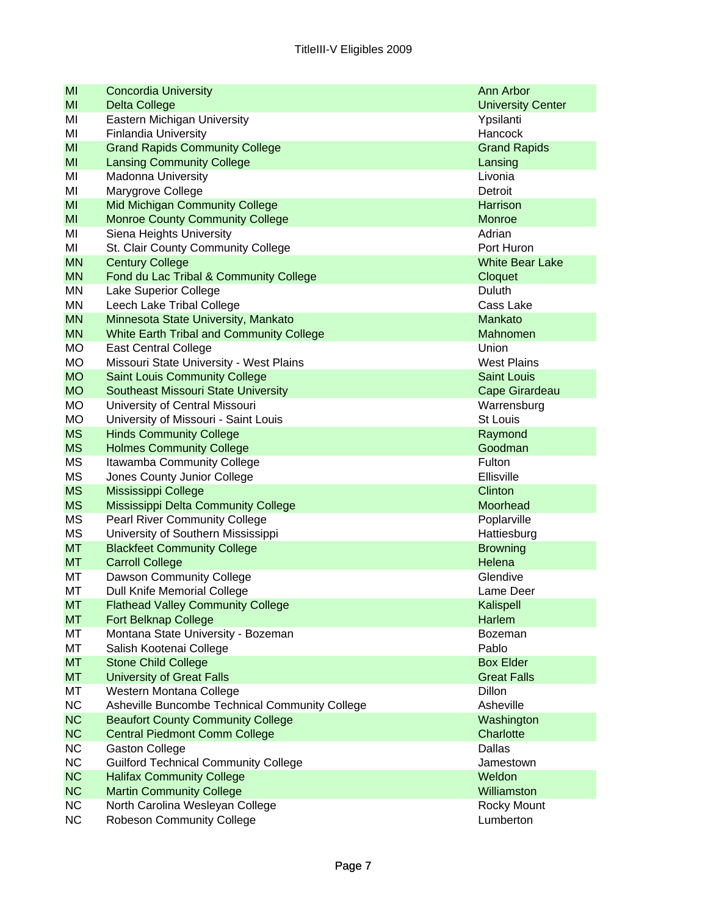| MI        | <b>Concordia University</b>                     | Ann Arbor                |
|-----------|-------------------------------------------------|--------------------------|
| MI        | <b>Delta College</b>                            | <b>University Center</b> |
| ΜI        | Eastern Michigan University                     | Ypsilanti                |
| ΜI        | <b>Finlandia University</b>                     | Hancock                  |
| MI        | <b>Grand Rapids Community College</b>           | <b>Grand Rapids</b>      |
| MI        | <b>Lansing Community College</b>                | Lansing                  |
| ΜI        | <b>Madonna University</b>                       | Livonia                  |
| ΜI        | Marygrove College                               | Detroit                  |
| MI        | <b>Mid Michigan Community College</b>           | Harrison                 |
| MI        | <b>Monroe County Community College</b>          | Monroe                   |
| ΜI        | Siena Heights University                        | Adrian                   |
| MI        | St. Clair County Community College              | Port Huron               |
| <b>MN</b> | <b>Century College</b>                          | <b>White Bear Lake</b>   |
| <b>MN</b> | Fond du Lac Tribal & Community College          | Cloquet                  |
| MN        | Lake Superior College                           | Duluth                   |
| MN        | Leech Lake Tribal College                       | Cass Lake                |
| <b>MN</b> | Minnesota State University, Mankato             | Mankato                  |
| <b>MN</b> | <b>White Earth Tribal and Community College</b> | Mahnomen                 |
| <b>MO</b> | <b>East Central College</b>                     | Union                    |
| MO        | Missouri State University - West Plains         | <b>West Plains</b>       |
| <b>MO</b> | <b>Saint Louis Community College</b>            | <b>Saint Louis</b>       |
| <b>MO</b> | <b>Southeast Missouri State University</b>      | Cape Girardeau           |
| MO        | University of Central Missouri                  | Warrensburg              |
| <b>MO</b> | University of Missouri - Saint Louis            | St Louis                 |
| <b>MS</b> | <b>Hinds Community College</b>                  | Raymond                  |
| <b>MS</b> | <b>Holmes Community College</b>                 | Goodman                  |
| <b>MS</b> | Itawamba Community College                      | Fulton                   |
| MS        | Jones County Junior College                     | Ellisville               |
| <b>MS</b> | Mississippi College                             | Clinton                  |
| <b>MS</b> | Mississippi Delta Community College             | Moorhead                 |
| MS        | <b>Pearl River Community College</b>            | Poplarville              |
| MS        | University of Southern Mississippi              | Hattiesburg              |
| <b>MT</b> | <b>Blackfeet Community College</b>              | <b>Browning</b>          |
| <b>MT</b> | <b>Carroll College</b>                          | Helena                   |
| МT        | Dawson Community College                        | Glendive                 |
| МT        | <b>Dull Knife Memorial College</b>              | Lame Deer                |
| <b>MT</b> | <b>Flathead Valley Community College</b>        | Kalispell                |
| <b>MT</b> | <b>Fort Belknap College</b>                     | Harlem                   |
| МT        | Montana State University - Bozeman              | <b>Bozeman</b>           |
| МT        | Salish Kootenai College                         | Pablo                    |
| <b>MT</b> | <b>Stone Child College</b>                      | <b>Box Elder</b>         |
| <b>MT</b> | <b>University of Great Falls</b>                | <b>Great Falls</b>       |
| МT        | Western Montana College                         | Dillon                   |
| NC        | Asheville Buncombe Technical Community College  | Asheville                |
| <b>NC</b> | <b>Beaufort County Community College</b>        | Washington               |
| <b>NC</b> | <b>Central Piedmont Comm College</b>            | Charlotte                |
| <b>NC</b> | <b>Gaston College</b>                           | Dallas                   |
| <b>NC</b> | <b>Guilford Technical Community College</b>     | Jamestown                |
| <b>NC</b> | <b>Halifax Community College</b>                | Weldon                   |
| <b>NC</b> | <b>Martin Community College</b>                 | Williamston              |
| <b>NC</b> | North Carolina Wesleyan College                 | Rocky Mount              |
| <b>NC</b> | <b>Robeson Community College</b>                | Lumberton                |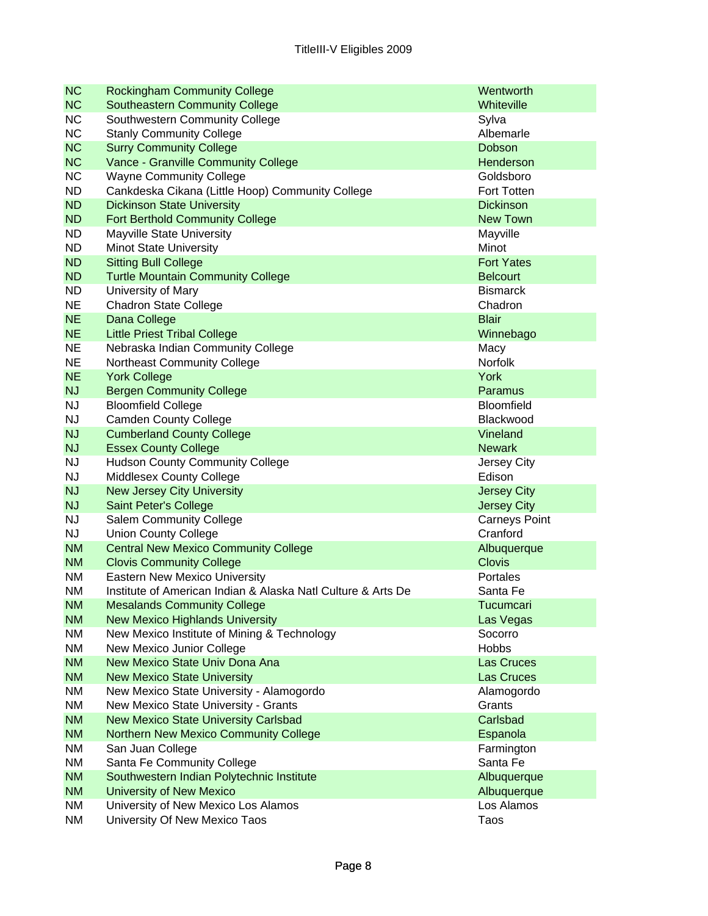| <b>NC</b>              | <b>Rockingham Community College</b>                           | Wentworth             |
|------------------------|---------------------------------------------------------------|-----------------------|
| <b>NC</b>              | <b>Southeastern Community College</b>                         | Whiteville            |
| <b>NC</b>              | Southwestern Community College                                | Sylva                 |
| <b>NC</b>              | <b>Stanly Community College</b>                               | Albemarle             |
| <b>NC</b>              | <b>Surry Community College</b>                                | Dobson                |
| <b>NC</b>              | Vance - Granville Community College                           | Henderson             |
| <b>NC</b>              | <b>Wayne Community College</b>                                | Goldsboro             |
| <b>ND</b>              | Cankdeska Cikana (Little Hoop) Community College              | Fort Totten           |
| <b>ND</b>              | <b>Dickinson State University</b>                             | <b>Dickinson</b>      |
| <b>ND</b>              | <b>Fort Berthold Community College</b>                        | New Town              |
| <b>ND</b>              | <b>Mayville State University</b>                              | Mayville              |
| <b>ND</b>              | <b>Minot State University</b>                                 | Minot                 |
| <b>ND</b>              | <b>Sitting Bull College</b>                                   | <b>Fort Yates</b>     |
| <b>ND</b>              | <b>Turtle Mountain Community College</b>                      | <b>Belcourt</b>       |
| <b>ND</b>              | University of Mary                                            | <b>Bismarck</b>       |
| <b>NE</b>              | <b>Chadron State College</b>                                  | Chadron               |
| <b>NE</b>              | Dana College                                                  | <b>Blair</b>          |
| <b>NE</b>              | <b>Little Priest Tribal College</b>                           | Winnebago             |
| <b>NE</b>              | Nebraska Indian Community College                             | Macy                  |
| <b>NE</b>              | Northeast Community College                                   | Norfolk               |
| <b>NE</b>              | <b>York College</b>                                           | <b>York</b>           |
| <b>NJ</b>              | <b>Bergen Community College</b>                               | Paramus               |
| <b>NJ</b>              | <b>Bloomfield College</b>                                     | <b>Bloomfield</b>     |
| <b>NJ</b>              | <b>Camden County College</b>                                  | Blackwood             |
| <b>NJ</b>              | <b>Cumberland County College</b>                              | Vineland              |
| <b>NJ</b>              | <b>Essex County College</b>                                   | <b>Newark</b>         |
| <b>NJ</b><br><b>NJ</b> | <b>Hudson County Community College</b>                        | Jersey City<br>Edison |
| <b>NJ</b>              | Middlesex County College<br><b>New Jersey City University</b> | <b>Jersey City</b>    |
| <b>NJ</b>              | Saint Peter's College                                         | <b>Jersey City</b>    |
| <b>NJ</b>              | <b>Salem Community College</b>                                | <b>Carneys Point</b>  |
| <b>NJ</b>              | <b>Union County College</b>                                   | Cranford              |
| <b>NM</b>              | <b>Central New Mexico Community College</b>                   | Albuquerque           |
| <b>NM</b>              | <b>Clovis Community College</b>                               | <b>Clovis</b>         |
| <b>NM</b>              | Eastern New Mexico University                                 | Portales              |
| <b>NM</b>              | Institute of American Indian & Alaska Natl Culture & Arts De  | Santa Fe              |
| <b>NM</b>              | <b>Mesalands Community College</b>                            | Tucumcari             |
| <b>NM</b>              | <b>New Mexico Highlands University</b>                        | Las Vegas             |
| NM                     | New Mexico Institute of Mining & Technology                   | Socorro               |
| NM                     | New Mexico Junior College                                     | <b>Hobbs</b>          |
| <b>NM</b>              | New Mexico State Univ Dona Ana                                | <b>Las Cruces</b>     |
| <b>NM</b>              | <b>New Mexico State University</b>                            | Las Cruces            |
| NM                     | New Mexico State University - Alamogordo                      | Alamogordo            |
| NM                     | New Mexico State University - Grants                          | Grants                |
| <b>NM</b>              | <b>New Mexico State University Carlsbad</b>                   | Carlsbad              |
| <b>NM</b>              | <b>Northern New Mexico Community College</b>                  | Espanola              |
| NM                     | San Juan College                                              | Farmington            |
| NM                     | Santa Fe Community College                                    | Santa Fe              |
| <b>NM</b>              | Southwestern Indian Polytechnic Institute                     | Albuquerque           |
| <b>NM</b>              | University of New Mexico                                      | Albuquerque           |
| NM                     | University of New Mexico Los Alamos                           | Los Alamos            |
| NM                     | University Of New Mexico Taos                                 | Taos                  |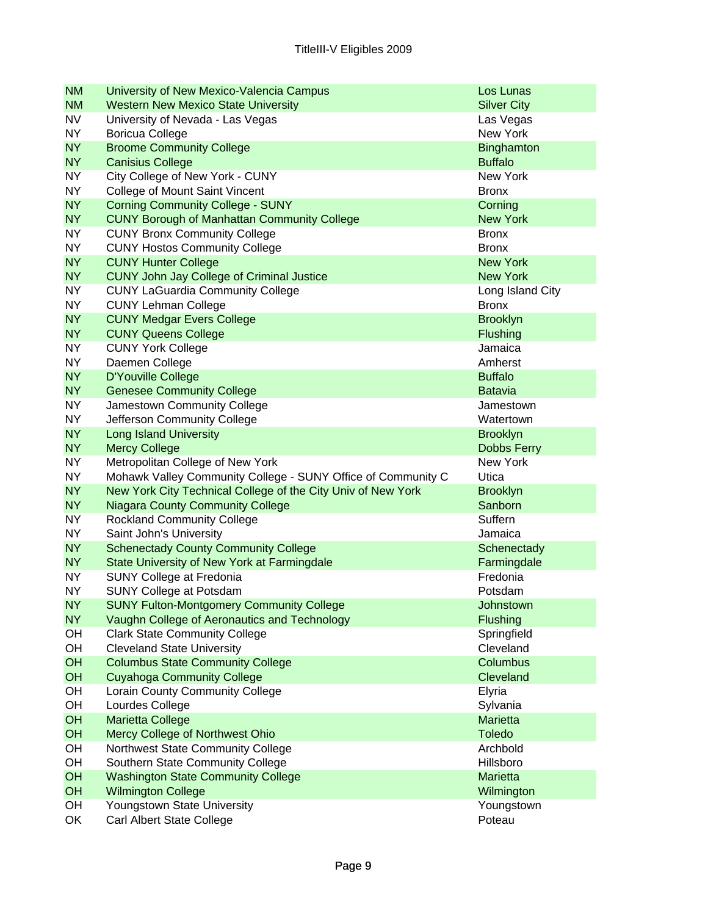| <b>NM</b>              | University of New Mexico-Valencia Campus                                                         | Los Lunas                |
|------------------------|--------------------------------------------------------------------------------------------------|--------------------------|
| <b>NM</b>              | <b>Western New Mexico State University</b>                                                       | <b>Silver City</b>       |
| <b>NV</b>              | University of Nevada - Las Vegas                                                                 | Las Vegas                |
| <b>NY</b>              | <b>Boricua College</b>                                                                           | New York                 |
| <b>NY</b>              | <b>Broome Community College</b>                                                                  | <b>Binghamton</b>        |
| <b>NY</b>              | <b>Canisius College</b>                                                                          | <b>Buffalo</b>           |
| NY.                    | City College of New York - CUNY                                                                  | <b>New York</b>          |
| <b>NY</b>              | College of Mount Saint Vincent                                                                   | <b>Bronx</b>             |
| <b>NY</b>              | <b>Corning Community College - SUNY</b>                                                          | Corning                  |
| <b>NY</b>              | <b>CUNY Borough of Manhattan Community College</b>                                               | <b>New York</b>          |
| <b>NY</b>              | <b>CUNY Bronx Community College</b>                                                              | <b>Bronx</b>             |
| <b>NY</b>              | <b>CUNY Hostos Community College</b>                                                             | <b>Bronx</b>             |
| <b>NY</b>              | <b>CUNY Hunter College</b>                                                                       | <b>New York</b>          |
| <b>NY</b>              | <b>CUNY John Jay College of Criminal Justice</b>                                                 | <b>New York</b>          |
| NY.                    | <b>CUNY LaGuardia Community College</b>                                                          | Long Island City         |
| NY.                    | <b>CUNY Lehman College</b>                                                                       | <b>Bronx</b>             |
| <b>NY</b>              | <b>CUNY Medgar Evers College</b>                                                                 | <b>Brooklyn</b>          |
| <b>NY</b>              | <b>CUNY Queens College</b>                                                                       | Flushing                 |
| NY.                    | <b>CUNY York College</b>                                                                         | Jamaica                  |
| <b>NY</b>              | Daemen College                                                                                   | Amherst                  |
| <b>NY</b>              | D'Youville College                                                                               | <b>Buffalo</b>           |
| <b>NY</b>              | <b>Genesee Community College</b>                                                                 | <b>Batavia</b>           |
| NY.                    | Jamestown Community College                                                                      | Jamestown                |
| <b>NY</b>              | Jefferson Community College                                                                      | Watertown                |
| <b>NY</b>              | <b>Long Island University</b>                                                                    | <b>Brooklyn</b>          |
| <b>NY</b>              | <b>Mercy College</b>                                                                             | <b>Dobbs Ferry</b>       |
| <b>NY</b><br><b>NY</b> | Metropolitan College of New York<br>Mohawk Valley Community College - SUNY Office of Community C | <b>New York</b>          |
| <b>NY</b>              | New York City Technical College of the City Univ of New York                                     | Utica<br><b>Brooklyn</b> |
| <b>NY</b>              | <b>Niagara County Community College</b>                                                          | Sanborn                  |
| <b>NY</b>              | <b>Rockland Community College</b>                                                                | Suffern                  |
| NY.                    | Saint John's University                                                                          | Jamaica                  |
| <b>NY</b>              | <b>Schenectady County Community College</b>                                                      | Schenectady              |
| <b>NY</b>              | State University of New York at Farmingdale                                                      | Farmingdale              |
| <b>NY</b>              | <b>SUNY College at Fredonia</b>                                                                  | Fredonia                 |
| <b>NY</b>              | <b>SUNY College at Potsdam</b>                                                                   | Potsdam                  |
| <b>NY</b>              | <b>SUNY Fulton-Montgomery Community College</b>                                                  | Johnstown                |
| <b>NY</b>              | Vaughn College of Aeronautics and Technology                                                     | Flushing                 |
| OH                     | <b>Clark State Community College</b>                                                             | Springfield              |
| OH                     | <b>Cleveland State University</b>                                                                | Cleveland                |
| OH                     | <b>Columbus State Community College</b>                                                          | Columbus                 |
| OH                     | <b>Cuyahoga Community College</b>                                                                | Cleveland                |
| OH                     | Lorain County Community College                                                                  | Elyria                   |
| OH                     | Lourdes College                                                                                  | Sylvania                 |
| OH                     | <b>Marietta College</b>                                                                          | <b>Marietta</b>          |
| OH                     | Mercy College of Northwest Ohio                                                                  | <b>Toledo</b>            |
| OH                     | Northwest State Community College                                                                | Archbold                 |
| OH                     | Southern State Community College                                                                 | Hillsboro                |
| OH                     | <b>Washington State Community College</b>                                                        | <b>Marietta</b>          |
| OH                     | <b>Wilmington College</b>                                                                        | Wilmington               |
| OH                     | Youngstown State University                                                                      | Youngstown               |
| OK                     | Carl Albert State College                                                                        | Poteau                   |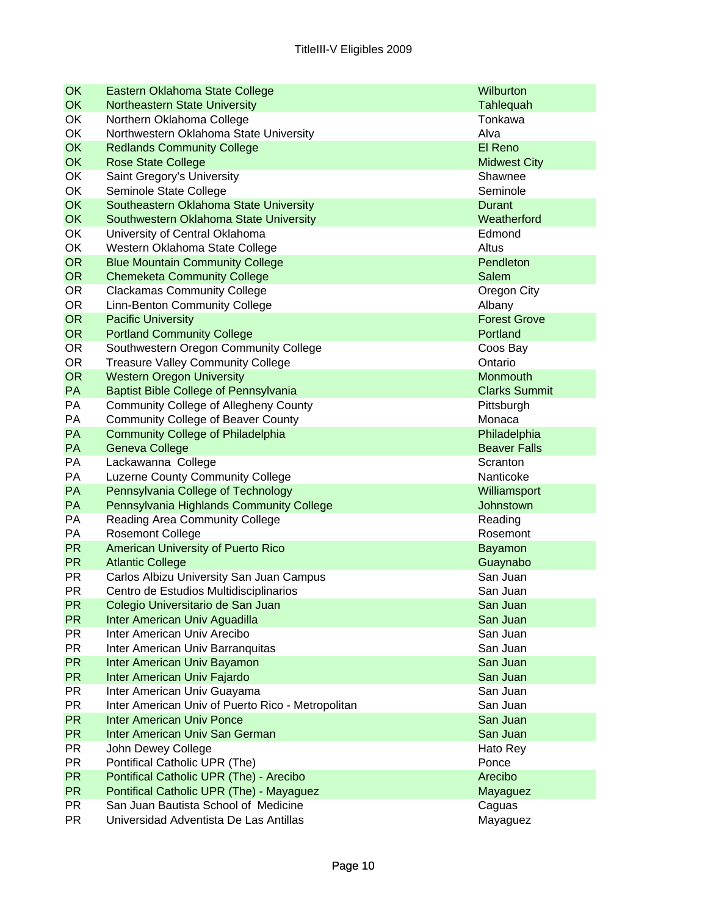| OK        | Eastern Oklahoma State College                                | Wilburton            |
|-----------|---------------------------------------------------------------|----------------------|
| <b>OK</b> | <b>Northeastern State University</b>                          | Tahlequah            |
| OK        | Northern Oklahoma College                                     | Tonkawa              |
| OK        | Northwestern Oklahoma State University                        | Alva                 |
| <b>OK</b> | <b>Redlands Community College</b>                             | El Reno              |
| <b>OK</b> | <b>Rose State College</b>                                     | <b>Midwest City</b>  |
| OK        | Saint Gregory's University                                    | Shawnee              |
| OK        | Seminole State College                                        | Seminole             |
| OK        | Southeastern Oklahoma State University                        | Durant               |
| OK        | Southwestern Oklahoma State University                        | Weatherford          |
| OK        | University of Central Oklahoma                                | Edmond               |
| OK        | Western Oklahoma State College                                | Altus                |
| <b>OR</b> | <b>Blue Mountain Community College</b>                        | Pendleton            |
| <b>OR</b> | <b>Chemeketa Community College</b>                            | <b>Salem</b>         |
| <b>OR</b> | <b>Clackamas Community College</b>                            | Oregon City          |
| OR.       | Linn-Benton Community College                                 | Albany               |
| <b>OR</b> | <b>Pacific University</b>                                     | <b>Forest Grove</b>  |
| <b>OR</b> | <b>Portland Community College</b>                             | Portland             |
| <b>OR</b> | Southwestern Oregon Community College                         | Coos Bay             |
| <b>OR</b> | <b>Treasure Valley Community College</b>                      | Ontario              |
| <b>OR</b> | <b>Western Oregon University</b>                              | <b>Monmouth</b>      |
| PA        | <b>Baptist Bible College of Pennsylvania</b>                  | <b>Clarks Summit</b> |
| PA        | <b>Community College of Allegheny County</b>                  | Pittsburgh           |
| PA        | <b>Community College of Beaver County</b>                     | Monaca               |
| PA        | <b>Community College of Philadelphia</b>                      | Philadelphia         |
| PA        | <b>Geneva College</b>                                         | <b>Beaver Falls</b>  |
| PA        | Lackawanna College                                            | Scranton             |
| PA        | <b>Luzerne County Community College</b>                       | Nanticoke            |
| PA        | Pennsylvania College of Technology                            | Williamsport         |
| PA<br>PA  | Pennsylvania Highlands Community College                      | Johnstown            |
| PA        | <b>Reading Area Community College</b>                         | Reading<br>Rosemont  |
| <b>PR</b> | <b>Rosemont College</b>                                       |                      |
| <b>PR</b> | American University of Puerto Rico<br><b>Atlantic College</b> | <b>Bayamon</b>       |
| <b>PR</b> | Carlos Albizu University San Juan Campus                      | Guaynabo<br>San Juan |
| <b>PR</b> | Centro de Estudios Multidisciplinarios                        | San Juan             |
| <b>PR</b> | Colegio Universitario de San Juan                             | San Juan             |
| <b>PR</b> | Inter American Univ Aguadilla                                 | San Juan             |
| <b>PR</b> | Inter American Univ Arecibo                                   | San Juan             |
| <b>PR</b> | Inter American Univ Barranquitas                              | San Juan             |
| <b>PR</b> | Inter American Univ Bayamon                                   | San Juan             |
| <b>PR</b> | Inter American Univ Fajardo                                   | San Juan             |
| <b>PR</b> | Inter American Univ Guayama                                   | San Juan             |
| <b>PR</b> | Inter American Univ of Puerto Rico - Metropolitan             | San Juan             |
| <b>PR</b> | <b>Inter American Univ Ponce</b>                              | San Juan             |
| <b>PR</b> | Inter American Univ San German                                | San Juan             |
| <b>PR</b> | John Dewey College                                            | Hato Rey             |
| <b>PR</b> | Pontifical Catholic UPR (The)                                 | Ponce                |
| <b>PR</b> | Pontifical Catholic UPR (The) - Arecibo                       | Arecibo              |
| <b>PR</b> | Pontifical Catholic UPR (The) - Mayaguez                      | Mayaguez             |
| <b>PR</b> | San Juan Bautista School of Medicine                          | Caguas               |
| <b>PR</b> | Universidad Adventista De Las Antillas                        | Mayaguez             |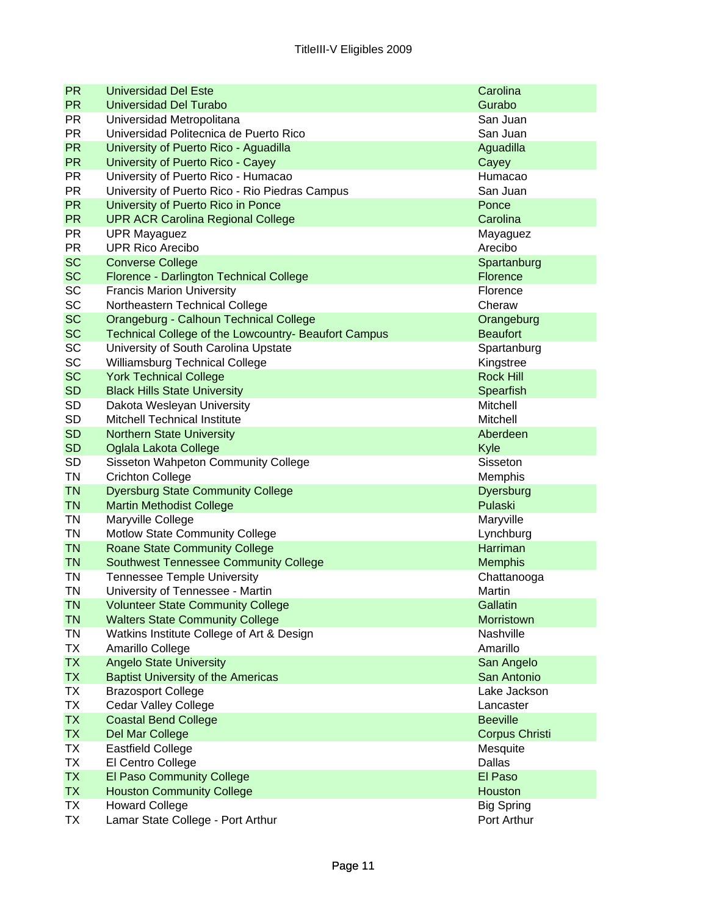| <b>PR</b> | <b>Universidad Del Este</b>                          | Carolina              |
|-----------|------------------------------------------------------|-----------------------|
| <b>PR</b> | <b>Universidad Del Turabo</b>                        | Gurabo                |
| <b>PR</b> | Universidad Metropolitana                            | San Juan              |
| <b>PR</b> | Universidad Politecnica de Puerto Rico               | San Juan              |
| <b>PR</b> | University of Puerto Rico - Aguadilla                | Aguadilla             |
| <b>PR</b> | University of Puerto Rico - Cayey                    | Cayey                 |
| <b>PR</b> | University of Puerto Rico - Humacao                  | Humacao               |
| <b>PR</b> | University of Puerto Rico - Rio Piedras Campus       | San Juan              |
| <b>PR</b> | University of Puerto Rico in Ponce                   | Ponce                 |
| <b>PR</b> | <b>UPR ACR Carolina Regional College</b>             | Carolina              |
| <b>PR</b> | <b>UPR Mayaguez</b>                                  | Mayaguez              |
| <b>PR</b> | <b>UPR Rico Arecibo</b>                              | Arecibo               |
| <b>SC</b> | <b>Converse College</b>                              | Spartanburg           |
| <b>SC</b> | Florence - Darlington Technical College              | <b>Florence</b>       |
| SC        | <b>Francis Marion University</b>                     | Florence              |
| SC        | Northeastern Technical College                       | Cheraw                |
| <b>SC</b> | Orangeburg - Calhoun Technical College               | Orangeburg            |
| <b>SC</b> | Technical College of the Lowcountry- Beaufort Campus | <b>Beaufort</b>       |
| SC        | University of South Carolina Upstate                 | Spartanburg           |
| SC        | Williamsburg Technical College                       | Kingstree             |
| <b>SC</b> | <b>York Technical College</b>                        | <b>Rock Hill</b>      |
| <b>SD</b> | <b>Black Hills State University</b>                  | Spearfish             |
| SD        | Dakota Wesleyan University                           | Mitchell              |
| SD        | Mitchell Technical Institute                         | Mitchell              |
| <b>SD</b> | <b>Northern State University</b>                     | Aberdeen              |
| <b>SD</b> | Oglala Lakota College                                | Kyle                  |
| <b>SD</b> | Sisseton Wahpeton Community College                  | Sisseton              |
| TN        | <b>Crichton College</b>                              | Memphis               |
| <b>TN</b> | <b>Dyersburg State Community College</b>             | Dyersburg             |
| <b>TN</b> | <b>Martin Methodist College</b>                      | Pulaski               |
| ΤN        | Maryville College                                    | Maryville             |
| ΤN        | Motlow State Community College                       | Lynchburg             |
| <b>TN</b> | <b>Roane State Community College</b>                 | <b>Harriman</b>       |
| <b>TN</b> | <b>Southwest Tennessee Community College</b>         | <b>Memphis</b>        |
| TN        | <b>Tennessee Temple University</b>                   | Chattanooga           |
| ΤN        | University of Tennessee - Martin                     | Martin                |
| <b>TN</b> | <b>Volunteer State Community College</b>             | Gallatin              |
| <b>TN</b> | <b>Walters State Community College</b>               | Morristown            |
| TN        | Watkins Institute College of Art & Design            | Nashville             |
| TX        | Amarillo College                                     | Amarillo              |
| <b>TX</b> | <b>Angelo State University</b>                       | San Angelo            |
| <b>TX</b> | <b>Baptist University of the Americas</b>            | San Antonio           |
| TX        | <b>Brazosport College</b>                            | Lake Jackson          |
| <b>TX</b> | <b>Cedar Valley College</b>                          | Lancaster             |
| <b>TX</b> | <b>Coastal Bend College</b>                          | <b>Beeville</b>       |
| <b>TX</b> | Del Mar College                                      | <b>Corpus Christi</b> |
| TX        | <b>Eastfield College</b>                             | Mesquite              |
| ТX        | El Centro College                                    | Dallas                |
| <b>TX</b> | <b>El Paso Community College</b>                     | El Paso               |
| <b>TX</b> | <b>Houston Community College</b>                     | Houston               |
| ТX        | <b>Howard College</b>                                | <b>Big Spring</b>     |
| TX        | Lamar State College - Port Arthur                    | Port Arthur           |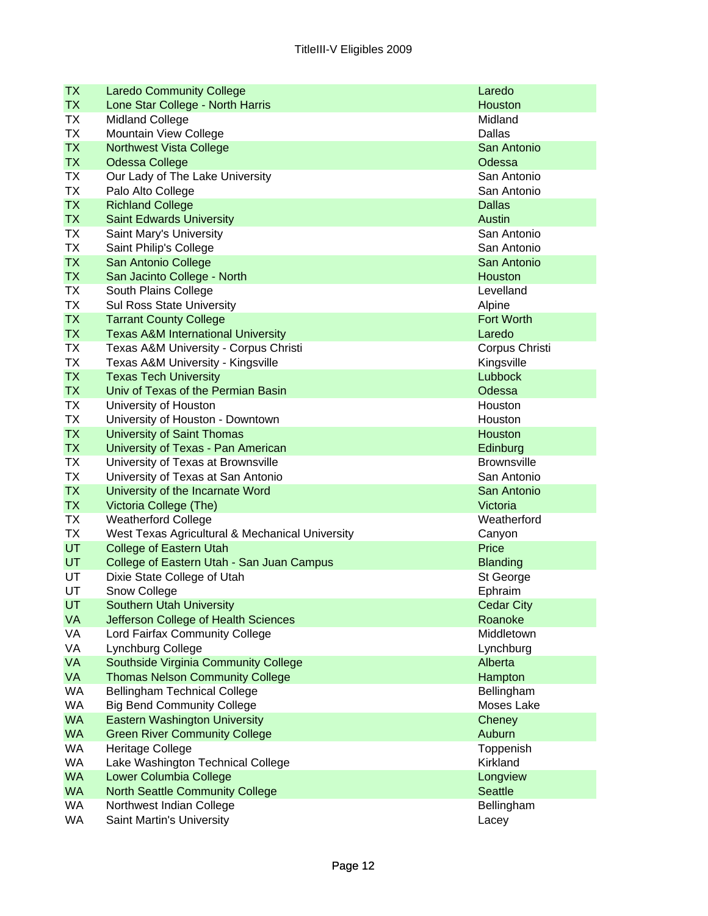| <b>TX</b> | <b>Laredo Community College</b>                 | Laredo                       |
|-----------|-------------------------------------------------|------------------------------|
| <b>TX</b> | Lone Star College - North Harris                | Houston                      |
| TX        | <b>Midland College</b>                          | Midland                      |
| ТX        | Mountain View College                           | Dallas                       |
| <b>TX</b> | <b>Northwest Vista College</b>                  | San Antonio                  |
| <b>TX</b> | <b>Odessa College</b>                           | Odessa                       |
| TX        | Our Lady of The Lake University                 | San Antonio                  |
| <b>TX</b> | Palo Alto College                               | San Antonio                  |
| <b>TX</b> | <b>Richland College</b>                         | <b>Dallas</b>                |
| <b>TX</b> | <b>Saint Edwards University</b>                 | Austin                       |
| <b>TX</b> | Saint Mary's University                         | San Antonio                  |
| ТX        | Saint Philip's College                          | San Antonio                  |
| <b>TX</b> | San Antonio College                             | San Antonio                  |
| <b>TX</b> | San Jacinto College - North                     | Houston                      |
| TX        | South Plains College                            | Levelland                    |
| TX        | <b>Sul Ross State University</b>                | Alpine                       |
| <b>TX</b> | <b>Tarrant County College</b>                   | <b>Fort Worth</b>            |
| <b>TX</b> | <b>Texas A&amp;M International University</b>   | Laredo                       |
| ТX        | Texas A&M University - Corpus Christi           | Corpus Christi               |
| ТX        | Texas A&M University - Kingsville               | Kingsville                   |
| <b>TX</b> | <b>Texas Tech University</b>                    | Lubbock                      |
| <b>TX</b> | Univ of Texas of the Permian Basin              | Odessa                       |
| ТX        | University of Houston                           | Houston                      |
| ТX        | University of Houston - Downtown                | Houston                      |
| <b>TX</b> | <b>University of Saint Thomas</b>               | Houston                      |
| <b>TX</b> | University of Texas - Pan American              | Edinburg                     |
| TX        | University of Texas at Brownsville              | <b>Brownsville</b>           |
| ТX        | University of Texas at San Antonio              | San Antonio                  |
| <b>TX</b> | University of the Incarnate Word                | San Antonio                  |
| <b>TX</b> | Victoria College (The)                          | Victoria                     |
| TX        | <b>Weatherford College</b>                      | Weatherford                  |
| TX        | West Texas Agricultural & Mechanical University | Canyon                       |
| <b>UT</b> | <b>College of Eastern Utah</b>                  | Price                        |
| <b>UT</b> | College of Eastern Utah - San Juan Campus       | <b>Blanding</b>              |
| UT<br>UT  | Dixie State College of Utah                     | St George                    |
| UT        | Snow College<br><b>Southern Utah University</b> | Ephraim<br><b>Cedar City</b> |
| <b>VA</b> | Jefferson College of Health Sciences            | Roanoke                      |
| VA        | Lord Fairfax Community College                  | Middletown                   |
| VA        | Lynchburg College                               | Lynchburg                    |
| VA        | Southside Virginia Community College            | Alberta                      |
| VA        | <b>Thomas Nelson Community College</b>          | Hampton                      |
| <b>WA</b> | <b>Bellingham Technical College</b>             | Bellingham                   |
| <b>WA</b> | <b>Big Bend Community College</b>               | Moses Lake                   |
| <b>WA</b> | <b>Eastern Washington University</b>            | Cheney                       |
| <b>WA</b> | <b>Green River Community College</b>            | Auburn                       |
| WA        | <b>Heritage College</b>                         | Toppenish                    |
| <b>WA</b> | Lake Washington Technical College               | Kirkland                     |
| <b>WA</b> | Lower Columbia College                          | Longview                     |
| <b>WA</b> | <b>North Seattle Community College</b>          | <b>Seattle</b>               |
| WA        | Northwest Indian College                        | Bellingham                   |
| WA        | Saint Martin's University                       | Lacey                        |